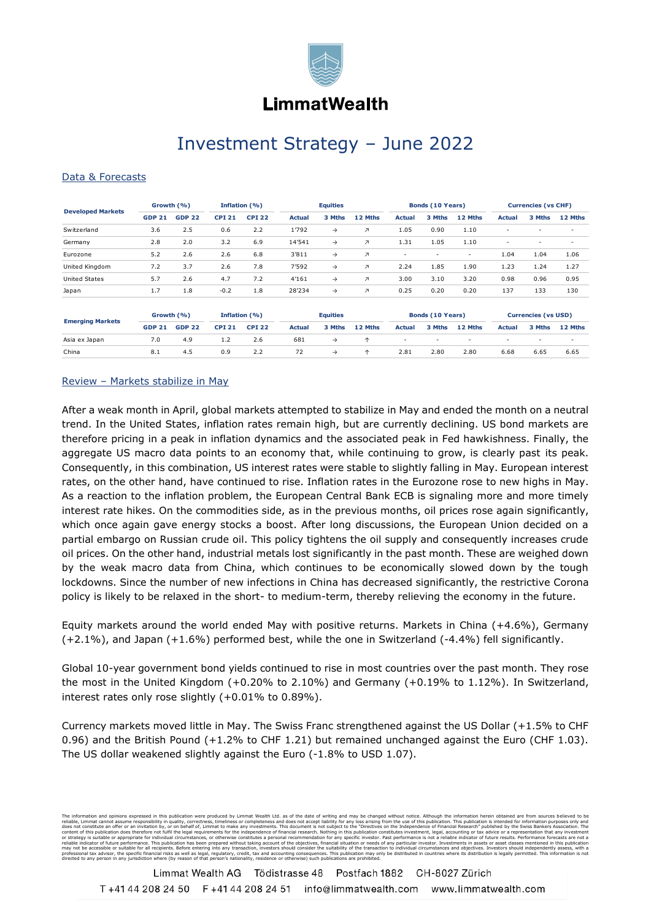

## Investment Strategy – June 2022

## Data & Forecasts

| <b>Developed Markets</b> | Growth (%)    |               | Inflation (%) |               | <b>Equities</b> |               |                          | Bonds (10 Years)         |        |                          | <b>Currencies (vs CHF)</b> |        |                          |
|--------------------------|---------------|---------------|---------------|---------------|-----------------|---------------|--------------------------|--------------------------|--------|--------------------------|----------------------------|--------|--------------------------|
|                          | <b>GDP 21</b> | <b>GDP 22</b> | <b>CPI 21</b> | <b>CPI 22</b> | <b>Actual</b>   | 3 Mths        | 12 Mths                  | <b>Actual</b>            | 3 Mths | 12 Mths                  | <b>Actual</b>              | 3 Mths | 12 Mths                  |
| Switzerland              | 3.6           | 2.5           | 0.6           | 2.2           | 1'792           | $\rightarrow$ | $\overline{\phantom{a}}$ | 1.05                     | 0.90   | 1.10                     | ٠                          |        | $\overline{\phantom{a}}$ |
| Germany                  | 2.8           | 2.0           | 3.2           | 6.9           | 14'541          | $\rightarrow$ | $\overline{\phantom{a}}$ | 1.31                     | 1.05   | 1.10                     | ٠                          | ۰      | $\overline{\phantom{a}}$ |
| Eurozone                 | 5.2           | 2.6           | 2.6           | 6.8           | 3'811           | $\rightarrow$ | $\overline{\phantom{a}}$ | $\overline{\phantom{a}}$ | ٠      | $\overline{\phantom{a}}$ | 1.04                       | 1.04   | 1.06                     |
| United Kingdom           | 7.2           | 3.7           | 2.6           | 7.8           | 7'592           | $\rightarrow$ | $\overline{\phantom{a}}$ | 2.24                     | 1.85   | 1.90                     | 1.23                       | 1.24   | 1.27                     |
| <b>United States</b>     | 5.7           | 2.6           | 4.7           | 7.2           | 4'161           | $\rightarrow$ | $\overline{\phantom{a}}$ | 3.00                     | 3.10   | 3.20                     | 0.98                       | 0.96   | 0.95                     |
| Japan                    | 1.7           | 1.8           | $-0.2$        | 1.8           | 28'234          | $\rightarrow$ | $\overline{\phantom{a}}$ | 0.25                     | 0.20   | 0.20                     | 137                        | 133    | 130                      |
| <b>Emerging Markets</b>  | Growth (%)    |               | Inflation (%) |               | <b>Equities</b> |               |                          | Bonds (10 Years)         |        |                          | <b>Currencies (vs USD)</b> |        |                          |
|                          | <b>GDP 21</b> | <b>GDP 22</b> | <b>CPI 21</b> | <b>CPI 22</b> | <b>Actual</b>   | 3 Mths        | 12 Mths                  | <b>Actual</b>            | 3 Mths | 12 Mths                  | <b>Actual</b>              | 3 Mths | 12 Mths                  |
| Asia ex Japan            | 7.0           | 4.9           | 1.2           | 2.6           | 681             | $\rightarrow$ | ↑                        | $\overline{\phantom{a}}$ |        | ۰                        | ٠                          |        | $\overline{\phantom{a}}$ |
| China                    | 8.1           | 4.5           | 0.9           | 2.2           | 72              | $\rightarrow$ | ↑                        | 2.81                     | 2.80   | 2.80                     | 6.68                       | 6.65   | 6.65                     |

## Review – Markets stabilize in May

After a weak month in April, global markets attempted to stabilize in May and ended the month on a neutral trend. In the United States, inflation rates remain high, but are currently declining. US bond markets are therefore pricing in a peak in inflation dynamics and the associated peak in Fed hawkishness. Finally, the aggregate US macro data points to an economy that, while continuing to grow, is clearly past its peak. Consequently, in this combination, US interest rates were stable to slightly falling in May. European interest rates, on the other hand, have continued to rise. Inflation rates in the Eurozone rose to new highs in May. As a reaction to the inflation problem, the European Central Bank ECB is signaling more and more timely interest rate hikes. On the commodities side, as in the previous months, oil prices rose again significantly, which once again gave energy stocks a boost. After long discussions, the European Union decided on a partial embargo on Russian crude oil. This policy tightens the oil supply and consequently increases crude oil prices. On the other hand, industrial metals lost significantly in the past month. These are weighed down by the weak macro data from China, which continues to be economically slowed down by the tough lockdowns. Since the number of new infections in China has decreased significantly, the restrictive Corona policy is likely to be relaxed in the short- to medium-term, thereby relieving the economy in the future.

Equity markets around the world ended May with positive returns. Markets in China (+4.6%), Germany (+2.1%), and Japan (+1.6%) performed best, while the one in Switzerland (-4.4%) fell significantly.

Global 10-year government bond yields continued to rise in most countries over the past month. They rose the most in the United Kingdom (+0.20% to 2.10%) and Germany (+0.19% to 1.12%). In Switzerland, interest rates only rose slightly (+0.01% to 0.89%).

Currency markets moved little in May. The Swiss Franc strengthened against the US Dollar (+1.5% to CHF 0.96) and the British Pound (+1.2% to CHF 1.21) but remained unchanged against the Euro (CHF 1.03). The US dollar weakened slightly against the Euro (-1.8% to USD 1.07).

The information and options expressed in this publication were produced by Limmat Vealh Ltd. as of the date of wirthing and may be changed without notice. Although the information peries only and the information and opinio professional tax advisor, the specific financial risks as well as legal, regulatory, credit, tax and accounting consequences. This publication may only be distributed in countries where its distribution is legally permitte